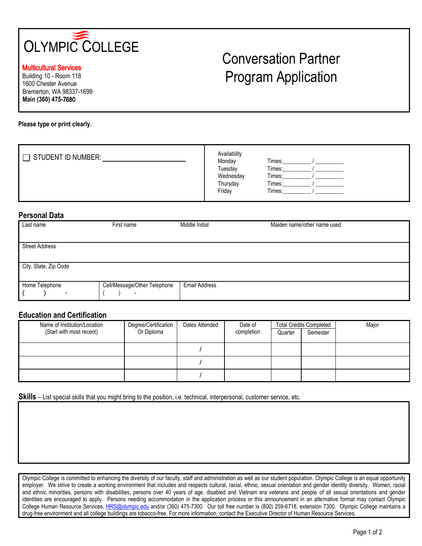

Multicultural Services

Building 10 - Room 118 1600 Chester Avenue Bremerton, WA 98337-1699 **Main (360) 475-**7680

# Conversation Partner Program Application

**Please type or print clearly.** 

| <b>STUDENT ID NUMBER:</b> | Availability<br>Monday<br>Tuesday<br>Wednesday<br>Thursday | Times:<br>Times:<br>Times:<br>Times: |  |
|---------------------------|------------------------------------------------------------|--------------------------------------|--|
|                           | Friday                                                     | Times:                               |  |

#### **Personal Data**

| Last name             | First name                                               | Middle Initial       | Maiden name/other name used |
|-----------------------|----------------------------------------------------------|----------------------|-----------------------------|
| <b>Street Address</b> |                                                          |                      |                             |
| City, State, Zip Code |                                                          |                      |                             |
| Home Telephone<br>۰   | Cell/Message/Other Telephone<br>$\overline{\phantom{0}}$ | <b>Email Address</b> |                             |

## **Education and Certification**

| Name of Institution/Location<br>(Start with most recent) | Degree/Certification<br>Or Diploma | Dates Attended | Date of<br>completion | Quarter | <b>Total Credits Completed</b><br>Semester | Major |
|----------------------------------------------------------|------------------------------------|----------------|-----------------------|---------|--------------------------------------------|-------|
|                                                          |                                    |                |                       |         |                                            |       |
|                                                          |                                    |                |                       |         |                                            |       |
|                                                          |                                    |                |                       |         |                                            |       |

**Skills** – List special skills that you might bring to the position, i.e. technical, interpersonal, customer service, etc.

Olympic College is committed to enhancing the diversity of our faculty, staff and administration as well as our student population. Olympic College is an equal opportunity employer. We strive to create a working environment that includes and respects cultural, racial, ethnic, sexual orientation and gender identity diversity. Women, racial and ethnic minorities, persons with disabilities, persons over 40 years of age, disabled and Vietnam era veterans and people of all sexual orientations and gender identities are encouraged to apply. Persons needing accommodation in the application process or this announcement in an alternative format may contact Olympic College Human Resource Services, [HRS@olympic.edu](mailto:HRS@olympic.edu) and/or (360) 475-7300. Our toll free number is (800) 259-6718, extension 7300. Olympic College maintains a drug-free environment and all college buildings are tobacco-free. For more information, contact the Executive Director of Human Resource Services.